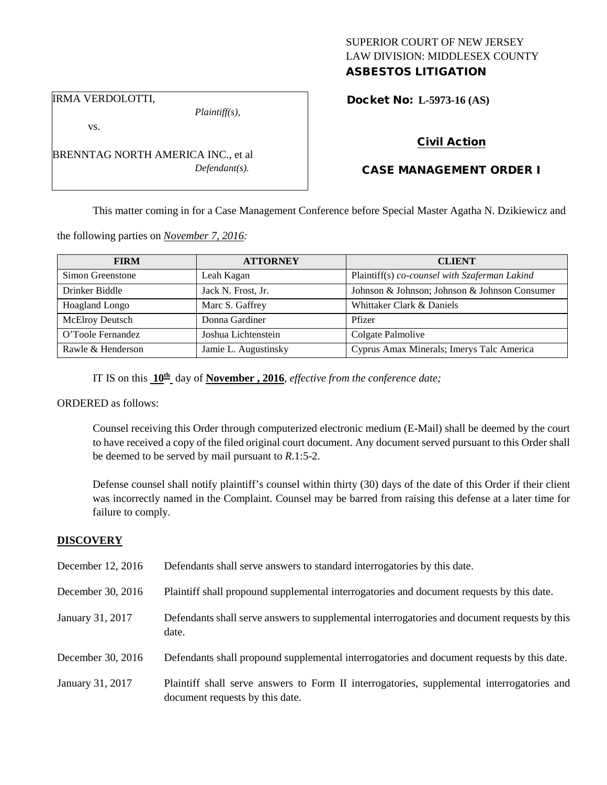## SUPERIOR COURT OF NEW JERSEY LAW DIVISION: MIDDLESEX COUNTY ASBESTOS LITIGATION

Docket No: **L-5973-16 (AS)** 

IRMA VERDOLOTTI,

vs.

*Plaintiff(s),*

*Defendant(s).*

Civil Action

# CASE MANAGEMENT ORDER I

This matter coming in for a Case Management Conference before Special Master Agatha N. Dzikiewicz and

the following parties on *November 7, 2016:*

BRENNTAG NORTH AMERICA INC., et al

| <b>FIRM</b>            | <b>ATTORNEY</b>      | <b>CLIENT</b>                                 |
|------------------------|----------------------|-----------------------------------------------|
| Simon Greenstone       | Leah Kagan           | Plaintiff(s) co-counsel with Szaferman Lakind |
| Drinker Biddle         | Jack N. Frost, Jr.   | Johnson & Johnson; Johnson & Johnson Consumer |
| Hoagland Longo         | Marc S. Gaffrey      | Whittaker Clark & Daniels                     |
| <b>McElroy Deutsch</b> | Donna Gardiner       | Pfizer                                        |
| O'Toole Fernandez      | Joshua Lichtenstein  | Colgate Palmolive                             |
| Rawle & Henderson      | Jamie L. Augustinsky | Cyprus Amax Minerals; Imerys Talc America     |

IT IS on this **10th** day of **November , 2016**, *effective from the conference date;*

ORDERED as follows:

Counsel receiving this Order through computerized electronic medium (E-Mail) shall be deemed by the court to have received a copy of the filed original court document. Any document served pursuant to this Order shall be deemed to be served by mail pursuant to *R*.1:5-2.

Defense counsel shall notify plaintiff's counsel within thirty (30) days of the date of this Order if their client was incorrectly named in the Complaint. Counsel may be barred from raising this defense at a later time for failure to comply.

#### **DISCOVERY**

| December 12, 2016 | Defendants shall serve answers to standard interrogatories by this date.                                                      |
|-------------------|-------------------------------------------------------------------------------------------------------------------------------|
| December 30, 2016 | Plaintiff shall propound supplemental interrogatories and document requests by this date.                                     |
| January 31, 2017  | Defendants shall serve answers to supplemental interrogatories and document requests by this<br>date.                         |
| December 30, 2016 | Defendants shall propound supplemental interrogatories and document requests by this date.                                    |
| January 31, 2017  | Plaintiff shall serve answers to Form II interrogatories, supplemental interrogatories and<br>document requests by this date. |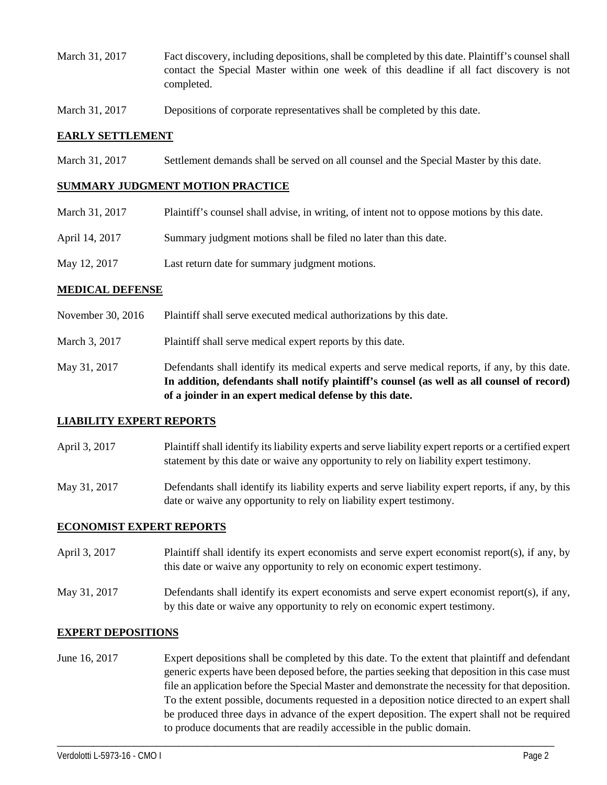- March 31, 2017 Fact discovery, including depositions, shall be completed by this date. Plaintiff's counsel shall contact the Special Master within one week of this deadline if all fact discovery is not completed.
- March 31, 2017 Depositions of corporate representatives shall be completed by this date.

### **EARLY SETTLEMENT**

March 31, 2017 Settlement demands shall be served on all counsel and the Special Master by this date.

#### **SUMMARY JUDGMENT MOTION PRACTICE**

| March 31, 2017 | Plaintiff's counsel shall advise, in writing, of intent not to oppose motions by this date. |
|----------------|---------------------------------------------------------------------------------------------|
| April 14, 2017 | Summary judgment motions shall be filed no later than this date.                            |
| May 12, 2017   | Last return date for summary judgment motions.                                              |

### **MEDICAL DEFENSE**

- November 30, 2016 Plaintiff shall serve executed medical authorizations by this date.
- March 3, 2017 Plaintiff shall serve medical expert reports by this date.
- May 31, 2017 Defendants shall identify its medical experts and serve medical reports, if any, by this date. **In addition, defendants shall notify plaintiff's counsel (as well as all counsel of record) of a joinder in an expert medical defense by this date.**

## **LIABILITY EXPERT REPORTS**

- April 3, 2017 Plaintiff shall identify its liability experts and serve liability expert reports or a certified expert statement by this date or waive any opportunity to rely on liability expert testimony.
- May 31, 2017 Defendants shall identify its liability experts and serve liability expert reports, if any, by this date or waive any opportunity to rely on liability expert testimony.

## **ECONOMIST EXPERT REPORTS**

- April 3, 2017 Plaintiff shall identify its expert economists and serve expert economist report(s), if any, by this date or waive any opportunity to rely on economic expert testimony.
- May 31, 2017 Defendants shall identify its expert economists and serve expert economist report(s), if any, by this date or waive any opportunity to rely on economic expert testimony.

## **EXPERT DEPOSITIONS**

June 16, 2017 Expert depositions shall be completed by this date. To the extent that plaintiff and defendant generic experts have been deposed before, the parties seeking that deposition in this case must file an application before the Special Master and demonstrate the necessity for that deposition. To the extent possible, documents requested in a deposition notice directed to an expert shall be produced three days in advance of the expert deposition. The expert shall not be required to produce documents that are readily accessible in the public domain.

\_\_\_\_\_\_\_\_\_\_\_\_\_\_\_\_\_\_\_\_\_\_\_\_\_\_\_\_\_\_\_\_\_\_\_\_\_\_\_\_\_\_\_\_\_\_\_\_\_\_\_\_\_\_\_\_\_\_\_\_\_\_\_\_\_\_\_\_\_\_\_\_\_\_\_\_\_\_\_\_\_\_\_\_\_\_\_\_\_\_\_\_\_\_\_\_\_\_\_\_\_\_\_\_\_\_\_\_\_\_